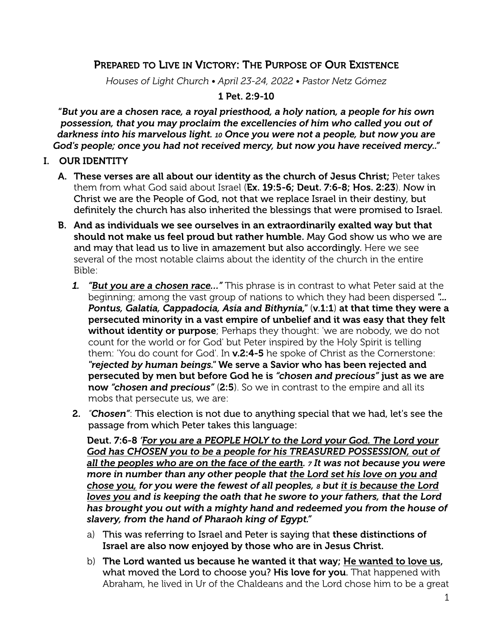## PREPARED TO LIVE IN VICTORY: THE PURPOSE OF OUR EXISTENCE

*Houses of Light Church • April 23-24, 2022 • Pastor Netz Gómez*

1 Pet. 2:9-10

"*But you are a chosen race, a royal priesthood, a holy nation, a people for his own possession, that you may proclaim the excellencies of him who called you out of darkness into his marvelous light. 10 Once you were not a people, but now you are God's people; once you had not received mercy, but now you have received mercy.."*

- I. OUR IDENTITY
	- A. These verses are all about our identity as the church of Jesus Christ; Peter takes them from what God said about Israel (Ex. 19:5-6; Deut. 7:6-8; Hos. 2:23). Now in Christ we are the People of God, not that we replace Israel in their destiny, but definitely the church has also inherited the blessings that were promised to Israel.
	- B. And as individuals we see ourselves in an extraordinarily exalted way but that should not make us feel proud but rather humble. May God show us who we are and may that lead us to live in amazement but also accordingly. Here we see several of the most notable claims about the identity of the church in the entire Bible:
		- *1. "But you are a chosen race…"* This phrase is in contrast to what Peter said at the beginning; among the vast group of nations to which they had been dispersed *"... Pontus, Galatia, Cappadocia, Asia and Bithynia,"* (v.1:1) at that time they were a persecuted minority in a vast empire of unbelief and it was easy that they felt without identity or purpose; Perhaps they thought: 'we are nobody, we do not count for the world or for God' but Peter inspired by the Holy Spirit is telling them: 'You do count for God'. In v.2:4-5 he spoke of Christ as the Cornerstone: *"rejected by human beings."* We serve a Savior who has been rejected and persecuted by men but before God he is *"chosen and precious"* just as we are now "chosen and precious" (2:5). So we in contrast to the empire and all its mobs that persecute us, we are:
		- 2. *"Chosen"*: This election is not due to anything special that we had, let's see the passage from which Peter takes this language:

Deut. 7:6-8 *'For you are a PEOPLE HOLY to the Lord your God. The Lord your*  God has CHOSEN you to be a people for his TREASURED POSSESSION, out of *all the peoples who are on the face of the earth. 7 It was not because you were more in number than any other people that the Lord set his love on you and chose you, for you were the fewest of all peoples, 8 but it is because the Lord*  loves you and is keeping the oath that he swore to your fathers, that the Lord *has brought you out with a mighty hand and redeemed you from the house of slavery, from the hand of Pharaoh king of Egypt."*

- a) This was referring to Israel and Peter is saying that these distinctions of Israel are also now enjoyed by those who are in Jesus Christ.
- b) The Lord wanted us because he wanted it that way; He wanted to love us, what moved the Lord to choose you? His love for you. That happened with Abraham, he lived in Ur of the Chaldeans and the Lord chose him to be a great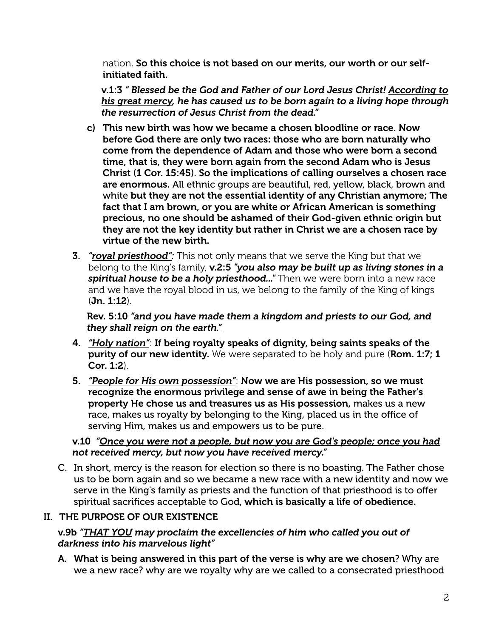nation. So this choice is not based on our merits, our worth or our selfinitiated faith.

v.1:3 *" Blessed be the God and Father of our Lord Jesus Christ! According to his great mercy, he has caused us to be born again to a living hope through the resurrection of Jesus Christ from the dead."*

- c) This new birth was how we became a chosen bloodline or race. Now before God there are only two races: those who are born naturally who come from the dependence of Adam and those who were born a second time, that is, they were born again from the second Adam who is Jesus Christ (1 Cor. 15:45). So the implications of calling ourselves a chosen race are enormous. All ethnic groups are beautiful, red, yellow, black, brown and white but they are not the essential identity of any Christian anymore; The fact that I am brown, or you are white or African American is something precious, no one should be ashamed of their God-given ethnic origin but they are not the key identity but rather in Christ we are a chosen race by virtue of the new birth.
- 3. *"royal priesthood":* This not only means that we serve the King but that we belong to the King's family, v.2:5 *"you also may be built up as living stones in a spiritual house to be a holy priesthood..."* Then we were born into a new race and we have the royal blood in us, we belong to the family of the King of kings (Jn. 1:12).

Rev. 5:10 *"and you have made them a kingdom and priests to our God, and they shall reign on the earth."*

- 4. *"Holy nation"*: If being royalty speaks of dignity, being saints speaks of the purity of our new identity. We were separated to be holy and pure (Rom. 1:7; 1 Cor. 1:2).
- 5. *"People for His own possession"*: Now we are His possession, so we must recognize the enormous privilege and sense of awe in being the Father's property He chose us and treasures us as His possession, makes us a new race, makes us royalty by belonging to the King, placed us in the office of serving Him, makes us and empowers us to be pure.

#### v.10 *"Once you were not a people, but now you are God's people; once you had not received mercy, but now you have received mercy."*

C. In short, mercy is the reason for election so there is no boasting. The Father chose us to be born again and so we became a new race with a new identity and now we serve in the King's family as priests and the function of that priesthood is to offer spiritual sacrifices acceptable to God, which is basically a life of obedience.

### II. THE PURPOSE OF OUR EXISTENCE

v.9b *"THAT YOU may proclaim the excellencies of him who called you out of darkness into his marvelous light"*

A. What is being answered in this part of the verse is why are we chosen? Why are we a new race? why are we royalty why are we called to a consecrated priesthood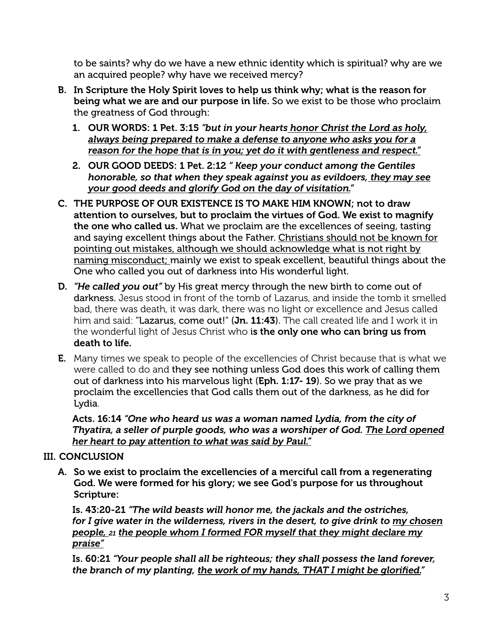to be saints? why do we have a new ethnic identity which is spiritual? why are we an acquired people? why have we received mercy?

- B. In Scripture the Holy Spirit loves to help us think why; what is the reason for being what we are and our purpose in life. So we exist to be those who proclaim the greatness of God through:
	- 1. OUR WORDS: 1 Pet. 3:15 *"but in your hearts honor Christ the Lord as holy, always being prepared to make a defense to anyone who asks you for a reason for the hope that is in you; yet do it with gentleness and respect."*
	- 2. OUR GOOD DEEDS: 1 Pet. 2:12 *" Keep your conduct among the Gentiles honorable, so that when they speak against you as evildoers, they may see your good deeds and glorify God on the day of visitation."*
- C. THE PURPOSE OF OUR EXISTENCE IS TO MAKE HIM KNOWN; not to draw attention to ourselves, but to proclaim the virtues of God. We exist to magnify the one who called us. What we proclaim are the excellences of seeing, tasting and saying excellent things about the Father. Christians should not be known for pointing out mistakes, although we should acknowledge what is not right by naming misconduct; mainly we exist to speak excellent, beautiful things about the One who called you out of darkness into His wonderful light.
- D. *"He called you out"* by His great mercy through the new birth to come out of darkness. Jesus stood in front of the tomb of Lazarus, and inside the tomb it smelled bad, there was death, it was dark, there was no light or excellence and Jesus called him and said: "Lazarus, come out!" (Jn. 11:43). The call created life and I work it in the wonderful light of Jesus Christ who is the only one who can bring us from death to life.
- **E.** Many times we speak to people of the excellencies of Christ because that is what we were called to do and they see nothing unless God does this work of calling them out of darkness into his marvelous light (Eph. 1:17- 19). So we pray that as we proclaim the excellencies that God calls them out of the darkness, as he did for Lydia.

Acts. 16:14 *"One who heard us was a woman named Lydia, from the city of Thyatira, a seller of purple goods, who was a worshiper of God. The Lord opened her heart to pay attention to what was said by Paul."*

# III. CONCLUSION

A. So we exist to proclaim the excellencies of a merciful call from a regenerating God. We were formed for his glory; we see God's purpose for us throughout Scripture:

Is. 43:20-21 *"The wild beasts will honor me, the jackals and the ostriches, for I give water in the wilderness, rivers in the desert, to give drink to my chosen people, 21 the people whom I formed FOR myself that they might declare my praise"*

Is. 60:21 *"Your people shall all be righteous; they shall possess the land forever, the branch of my planting, the work of my hands, THAT I might be glorified."*